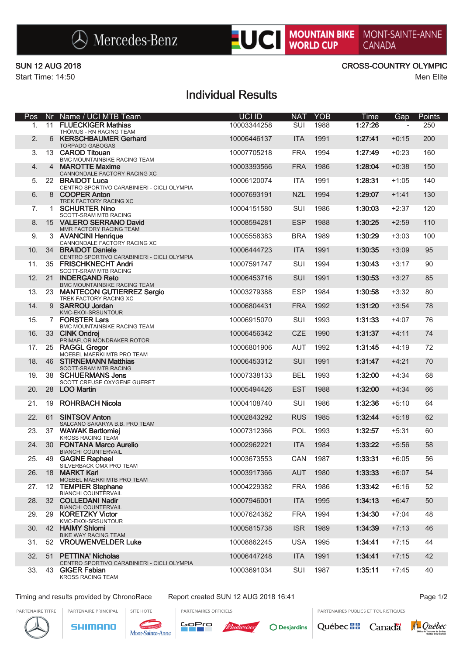

# MOUNTAIN BIKE MONT-SAINTE-ANNE

Start Time: 14:50 Men Elite

### SUN 12 AUG 2018 CROSS-COUNTRY OLYMPIC

## Individual Results

| Pos | Nr             | Name / UCI MTB Team                                                         | UCI ID      | <b>NAT</b> | <b>YOB</b> | <b>Time</b> | Gap     | Points |
|-----|----------------|-----------------------------------------------------------------------------|-------------|------------|------------|-------------|---------|--------|
| 1.  | 11             | <b>FLUECKIGER Mathias</b><br>THÖMUS - RN RACING TEAM                        | 10003344258 | SUI        | 1988       | 1:27:26     |         | 250    |
| 2.  | 6              | <b>KERSCHBAUMER Gerhard</b><br><b>TORPADO GABOGAS</b>                       | 10006446137 | <b>ITA</b> | 1991       | 1:27:41     | $+0:15$ | 200    |
| 3.  |                | 13 CAROD Titouan<br>BMC MOUNTAINBIKE RACING TEAM                            | 10007705218 | <b>FRA</b> | 1994       | 1:27:49     | $+0:23$ | 160    |
| 4.  | $\overline{4}$ | <b>MAROTTE Maxime</b><br>CANNONDALE FACTORY RACING XC                       | 10003393566 | <b>FRA</b> | 1986       | 1:28:04     | $+0:38$ | 150    |
| 5.  |                | 22 BRAIDOT Luca<br>CENTRO SPORTIVO CARABINIERI - CICLI OLYMPIA              | 10006120074 | <b>ITA</b> | 1991       | 1:28:31     | $+1:05$ | 140    |
| 6.  |                | 8 COOPER Anton<br>TREK FACTORY RACING XC                                    | 10007693191 | <b>NZL</b> | 1994       | 1:29:07     | $+1:41$ | 130    |
| 7.  | $\mathbf{1}$   | <b>SCHURTER Nino</b>                                                        | 10004151580 | <b>SUI</b> | 1986       | 1:30:03     | $+2:37$ | 120    |
| 8.  |                | SCOTT-SRAM MTB RACING<br>15 VALERO SERRANO David<br>MMR FACTORY RACING TEAM | 10008594281 | <b>ESP</b> | 1988       | 1:30:25     | $+2:59$ | 110    |
| 9.  |                | 3 AVANCINI Henrique<br>CANNONDALE FACTORY RACING XC                         | 10005558383 | <b>BRA</b> | 1989       | 1:30:29     | $+3:03$ | 100    |
| 10. |                | 34 BRAIDOT Daniele<br>CENTRO SPORTIVO CARABINIERI - CICLI OLYMPIA           | 10006444723 | <b>ITA</b> | 1991       | 1:30:35     | $+3:09$ | 95     |
| 11. |                | 35 FRISCHKNECHT Andri<br>SCOTT-SRAM MTB RACING                              | 10007591747 | SUI        | 1994       | 1:30:43     | $+3:17$ | 90     |
| 12. |                | 21 INDERGAND Reto<br>BMC MOUNTAINBIKE RACING TEAM                           | 10006453716 | SUI        | 1991       | 1:30:53     | $+3:27$ | 85     |
| 13. |                | 23 MANTECON GUTIERREZ Sergio<br>TREK FACTORY RACING XC                      | 10003279388 | <b>ESP</b> | 1984       | 1:30:58     | $+3:32$ | 80     |
| 14. |                | 9 SARROU Jordan<br>KMC-EKOI-SRSUNTOUR                                       | 10006804431 | <b>FRA</b> | 1992       | 1:31:20     | $+3:54$ | 78     |
| 15. |                | 7 FORSTER Lars<br>BMC MOUNTAINBIKE RACING TEAM                              | 10006915070 | SUI        | 1993       | 1:31:33     | +4:07   | 76     |
| 16. |                | 33 CINK Ondrej<br>PRIMAFLOR MONDRAKER ROTOR                                 | 10006456342 | <b>CZE</b> | 1990       | 1:31:37     | $+4:11$ | 74     |
| 17. |                | 25 RAGGL Gregor<br>MOEBEL MAERKI MTB PRO TEAM                               | 10006801906 | <b>AUT</b> | 1992       | 1:31:45     | +4:19   | 72     |
| 18. |                | 46 STIRNEMANN Matthias<br>SCOTT-SRAM MTB RACING                             | 10006453312 | SUI        | 1991       | 1:31:47     | $+4:21$ | 70     |
| 19. |                | 38 SCHUERMANS Jens<br>SCOTT CREUSE OXYGENE GUERET                           | 10007338133 | <b>BEL</b> | 1993       | 1:32:00     | $+4:34$ | 68     |
| 20. |                | 28 LOO Martin                                                               | 10005494426 | <b>EST</b> | 1988       | 1:32:00     | $+4:34$ | 66     |
| 21. | 19             | <b>ROHRBACH Nicola</b>                                                      | 10004108740 | SUI        | 1986       | 1:32:36     | $+5:10$ | 64     |
| 22. | 61             | <b>SINTSOV Anton</b><br>SALCANO SAKARYA B.B. PRO TEAM                       | 10002843292 | <b>RUS</b> | 1985       | 1:32:44     | $+5:18$ | 62     |
| 23. |                | 37 WAWAK Bartlomiei<br><b>KROSS RACING TEAM</b>                             | 10007312366 | POL        | 1993       | 1:32:57     | $+5:31$ | 60     |
| 24. |                | 30 FONTANA Marco Aurelio<br><b>BIANCHI COUNTERVAIL</b>                      | 10002962221 | <b>ITA</b> | 1984       | 1:33:22     | $+5:56$ | 58     |
| 25. | 49             | <b>GAGNE Raphael</b><br>SILVERBACK OMX PRO TEAM                             | 10003673553 | CAN        | 1987       | 1:33:31     | $+6:05$ | 56     |
| 26. | 18             | <b>MARKT Karl</b><br>MOEBEL MAERKI MTB PRO TEAM                             | 10003917366 | <b>AUT</b> | 1980       | 1:33:33     | $+6:07$ | 54     |
| 27. | 12             | <b>TEMPIER Stephane</b><br><b>BIANCHI COUNTERVAIL</b>                       | 10004229382 | <b>FRA</b> | 1986       | 1:33:42     | $+6:16$ | 52     |
| 28. |                | 32 COLLEDANI Nadir<br><b>BIANCHI COUNTERVAIL</b>                            | 10007946001 | <b>ITA</b> | 1995       | 1:34:13     | $+6:47$ | 50     |
| 29. | 29             | <b>KORETZKY Victor</b><br>KMC-EKOI-SRSUNTOUR                                | 10007624382 | <b>FRA</b> | 1994       | 1:34:30     | $+7:04$ | 48     |
| 30. |                | 42 HAIMY Shlomi<br>BIKE WAY RACING TEAM                                     | 10005815738 | <b>ISR</b> | 1989       | 1:34:39     | $+7:13$ | 46     |
| 31. |                | 52 VROUWENVELDER Luke                                                       | 10008862245 | <b>USA</b> | 1995       | 1:34:41     | $+7:15$ | 44     |
| 32. | 51             | <b>PETTINA' Nicholas</b><br>CENTRO SPORTIVO CARABINIERI - CICLI OLYMPIA     | 10006447248 | <b>ITA</b> | 1991       | 1:34:41     | $+7:15$ | 42     |
| 33. | 43             | <b>GIGER Fabian</b><br><b>KROSS RACING TEAM</b>                             | 10003691034 | SUI        | 1987       | 1:35:11     | $+7:45$ | 40     |

Timing and results provided by ChronoRace Report created SUN 12 AUG 2018 16:41 **Page 1/2** Page 1/2

PARTENAIRE PRINCIPAL

PARTENAIRE TITRE

SITE HÔTE **SHIMANO** 

Mont-Sainte-Anne

PARTENAIRES OFFICIELS GoPro





PARTENAIRES PUBLICS ET TOURISTIQUES

Canadä

Québec<sup>88</sup>